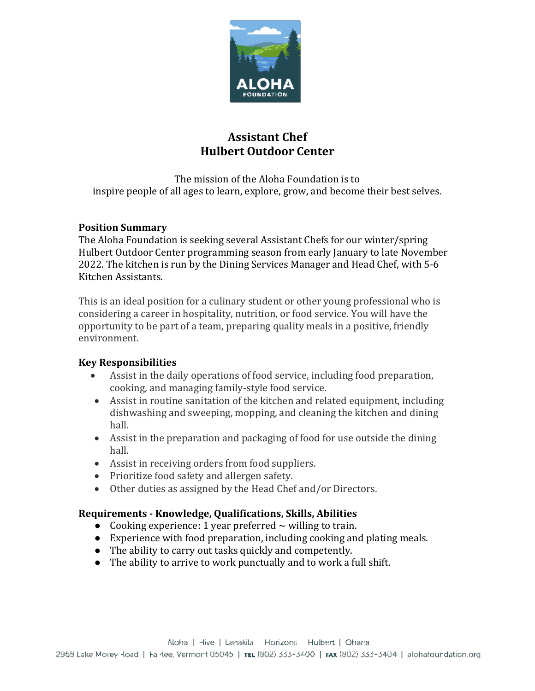

# **Assistant Chef Hulbert Outdoor Center**

The mission of the Aloha Foundation is to inspire people of all ages to learn, explore, grow, and become their best selves.

### **Position Summary**

The Aloha Foundation is seeking several Assistant Chefs for our winter/spring Hulbert Outdoor Center programming season from early January to late November 2022. The kitchen is run by the Dining Services Manager and Head Chef, with 5-6 Kitchen Assistants.

This is an ideal position for a culinary student or other young professional who is considering a career in hospitality, nutrition, or food service. You will have the opportunity to be part of a team, preparing quality meals in a positive, friendly environment.

## **Key Responsibilities**

- Assist in the daily operations of food service, including food preparation, cooking, and managing family-style food service.
- Assist in routine sanitation of the kitchen and related equipment, including dishwashing and sweeping, mopping, and cleaning the kitchen and dining hall.
- Assist in the preparation and packaging of food for use outside the dining hall.
- Assist in receiving orders from food suppliers.
- Prioritize food safety and allergen safety.
- Other duties as assigned by the Head Chef and/or Directors.

### **Requirements - Knowledge, Qualifications, Skills, Abilities**

- Cooking experience: 1 year preferred  $\sim$  willing to train.
- Experience with food preparation, including cooking and plating meals.
- The ability to carry out tasks quickly and competently.
- The ability to arrive to work punctually and to work a full shift.